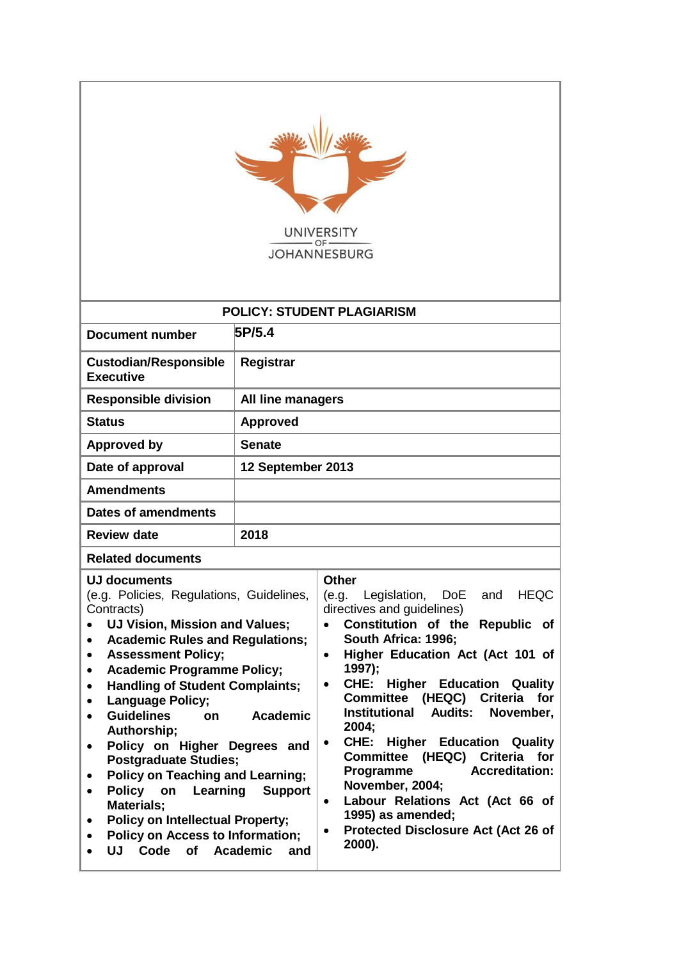| <b>UNIVERSITY</b><br><b>JOHANNESBURG</b>                                                                                                                                                                                                                                                                                                                                                                                                                                                                                                                                                                                                                                                                                                                                                             |                                   |                                                                                                                                                                                                                                                                                                                                                                                                                                                                                                                                                                                                                                                             |  |  |
|------------------------------------------------------------------------------------------------------------------------------------------------------------------------------------------------------------------------------------------------------------------------------------------------------------------------------------------------------------------------------------------------------------------------------------------------------------------------------------------------------------------------------------------------------------------------------------------------------------------------------------------------------------------------------------------------------------------------------------------------------------------------------------------------------|-----------------------------------|-------------------------------------------------------------------------------------------------------------------------------------------------------------------------------------------------------------------------------------------------------------------------------------------------------------------------------------------------------------------------------------------------------------------------------------------------------------------------------------------------------------------------------------------------------------------------------------------------------------------------------------------------------------|--|--|
|                                                                                                                                                                                                                                                                                                                                                                                                                                                                                                                                                                                                                                                                                                                                                                                                      | <b>POLICY: STUDENT PLAGIARISM</b> |                                                                                                                                                                                                                                                                                                                                                                                                                                                                                                                                                                                                                                                             |  |  |
| <b>Document number</b>                                                                                                                                                                                                                                                                                                                                                                                                                                                                                                                                                                                                                                                                                                                                                                               | 5P/5.4                            |                                                                                                                                                                                                                                                                                                                                                                                                                                                                                                                                                                                                                                                             |  |  |
| <b>Custodian/Responsible</b><br><b>Executive</b>                                                                                                                                                                                                                                                                                                                                                                                                                                                                                                                                                                                                                                                                                                                                                     | Registrar                         |                                                                                                                                                                                                                                                                                                                                                                                                                                                                                                                                                                                                                                                             |  |  |
| <b>Responsible division</b>                                                                                                                                                                                                                                                                                                                                                                                                                                                                                                                                                                                                                                                                                                                                                                          | <b>All line managers</b>          |                                                                                                                                                                                                                                                                                                                                                                                                                                                                                                                                                                                                                                                             |  |  |
| <b>Status</b>                                                                                                                                                                                                                                                                                                                                                                                                                                                                                                                                                                                                                                                                                                                                                                                        | <b>Approved</b>                   |                                                                                                                                                                                                                                                                                                                                                                                                                                                                                                                                                                                                                                                             |  |  |
| <b>Approved by</b>                                                                                                                                                                                                                                                                                                                                                                                                                                                                                                                                                                                                                                                                                                                                                                                   | <b>Senate</b>                     |                                                                                                                                                                                                                                                                                                                                                                                                                                                                                                                                                                                                                                                             |  |  |
| Date of approval                                                                                                                                                                                                                                                                                                                                                                                                                                                                                                                                                                                                                                                                                                                                                                                     | 12 September 2013                 |                                                                                                                                                                                                                                                                                                                                                                                                                                                                                                                                                                                                                                                             |  |  |
| <b>Amendments</b>                                                                                                                                                                                                                                                                                                                                                                                                                                                                                                                                                                                                                                                                                                                                                                                    |                                   |                                                                                                                                                                                                                                                                                                                                                                                                                                                                                                                                                                                                                                                             |  |  |
| <b>Dates of amendments</b>                                                                                                                                                                                                                                                                                                                                                                                                                                                                                                                                                                                                                                                                                                                                                                           |                                   |                                                                                                                                                                                                                                                                                                                                                                                                                                                                                                                                                                                                                                                             |  |  |
| <b>Review date</b>                                                                                                                                                                                                                                                                                                                                                                                                                                                                                                                                                                                                                                                                                                                                                                                   | 2018                              |                                                                                                                                                                                                                                                                                                                                                                                                                                                                                                                                                                                                                                                             |  |  |
| <b>Related documents</b>                                                                                                                                                                                                                                                                                                                                                                                                                                                                                                                                                                                                                                                                                                                                                                             |                                   |                                                                                                                                                                                                                                                                                                                                                                                                                                                                                                                                                                                                                                                             |  |  |
| <b>UJ documents</b><br>(e.g. Policies, Regulations, Guidelines,<br>Contracts)<br>UJ Vision, Mission and Values;<br>$\bullet$<br><b>Academic Rules and Regulations;</b><br>٠<br><b>Assessment Policy;</b><br>$\bullet$<br><b>Academic Programme Policy;</b><br>$\bullet$<br><b>Handling of Student Complaints;</b><br>$\bullet$<br><b>Language Policy;</b><br>$\bullet$<br><b>Guidelines</b><br>Academic<br>on<br>$\bullet$<br>Authorship;<br>Policy on Higher Degrees and<br>$\bullet$<br><b>Postgraduate Studies;</b><br><b>Policy on Teaching and Learning;</b><br>٠<br>Policy on<br><b>Learning Support</b><br>$\bullet$<br>Materials;<br><b>Policy on Intellectual Property;</b><br>$\bullet$<br><b>Policy on Access to Information;</b><br>$\bullet$<br>UJ Code of Academic<br>and<br>$\bullet$ |                                   | <b>Other</b><br>Legislation,<br><b>HEQC</b><br>(e.g.<br>DoE<br>and<br>directives and guidelines)<br>Constitution of the Republic of<br>$\bullet$<br>South Africa: 1996;<br>Higher Education Act (Act 101 of<br>$\bullet$<br>1997);<br>CHE:<br><b>Higher Education Quality</b><br>$\bullet$<br>Committee (HEQC) Criteria for<br><b>Institutional Audits:</b><br>November,<br>2004;<br><b>CHE: Higher Education Quality</b><br>٠<br>Committee (HEQC) Criteria for<br>Programme<br><b>Accreditation:</b><br>November, 2004;<br>Labour Relations Act (Act 66 of<br>$\bullet$<br>1995) as amended;<br>Protected Disclosure Act (Act 26 of<br>$\bullet$<br>2000). |  |  |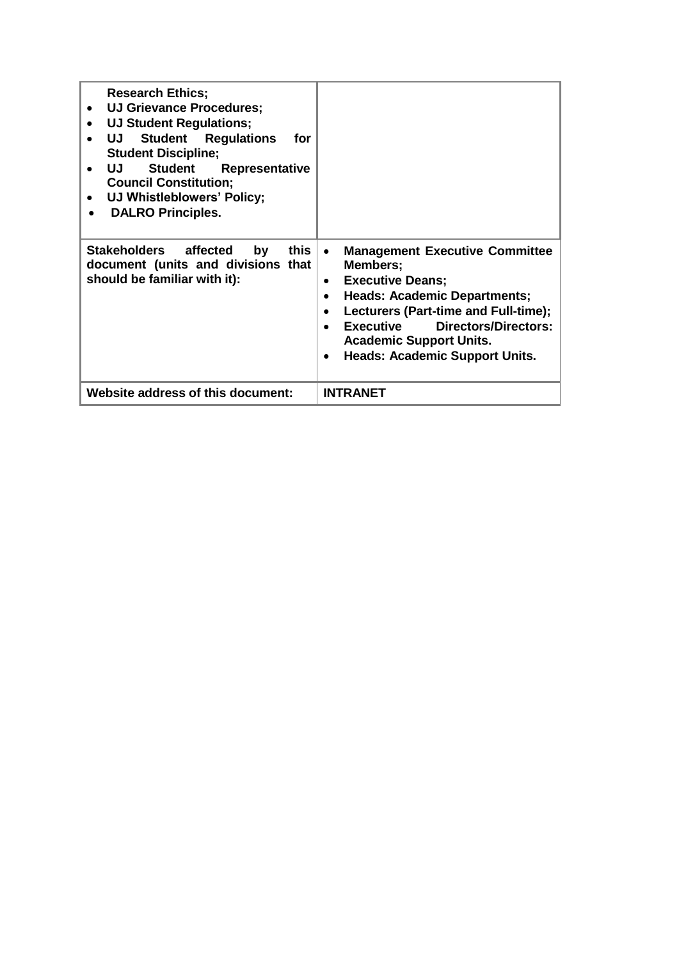| <b>Research Ethics;</b><br><b>UJ Grievance Procedures;</b><br><b>UJ Student Regulations;</b><br><b>Student Regulations</b><br>UJ L<br>for<br><b>Student Discipline;</b><br><b>Student</b><br>UJ<br>Representative<br><b>Council Constitution;</b><br>UJ Whistleblowers' Policy;<br><b>DALRO Principles.</b><br>٠ |                                                                                                                                                                                                                                                                                                                                                                  |
|------------------------------------------------------------------------------------------------------------------------------------------------------------------------------------------------------------------------------------------------------------------------------------------------------------------|------------------------------------------------------------------------------------------------------------------------------------------------------------------------------------------------------------------------------------------------------------------------------------------------------------------------------------------------------------------|
| Stakeholders affected<br>this<br>by<br>document (units and divisions that<br>should be familiar with it):                                                                                                                                                                                                        | <b>Management Executive Committee</b><br>$\bullet$<br>Members;<br><b>Executive Deans;</b><br>$\bullet$<br><b>Heads: Academic Departments;</b><br>$\bullet$<br>Lecturers (Part-time and Full-time);<br>$\bullet$<br><b>Directors/Directors:</b><br>Executive<br>$\bullet$<br><b>Academic Support Units.</b><br><b>Heads: Academic Support Units.</b><br>$\bullet$ |
| <b>Website address of this document:</b>                                                                                                                                                                                                                                                                         | <b>INTRANET</b>                                                                                                                                                                                                                                                                                                                                                  |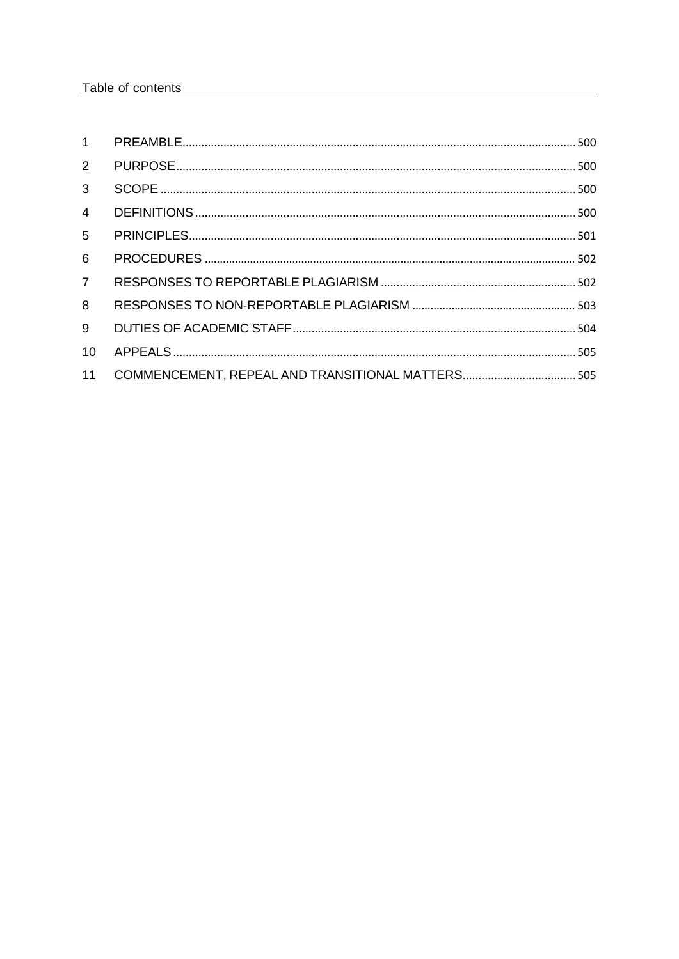| 1              |  |
|----------------|--|
| $\overline{2}$ |  |
| $\mathbf{3}$   |  |
| $\overline{4}$ |  |
| 5              |  |
| 6              |  |
| $\overline{7}$ |  |
| 8              |  |
| 9              |  |
| 10             |  |
| 11             |  |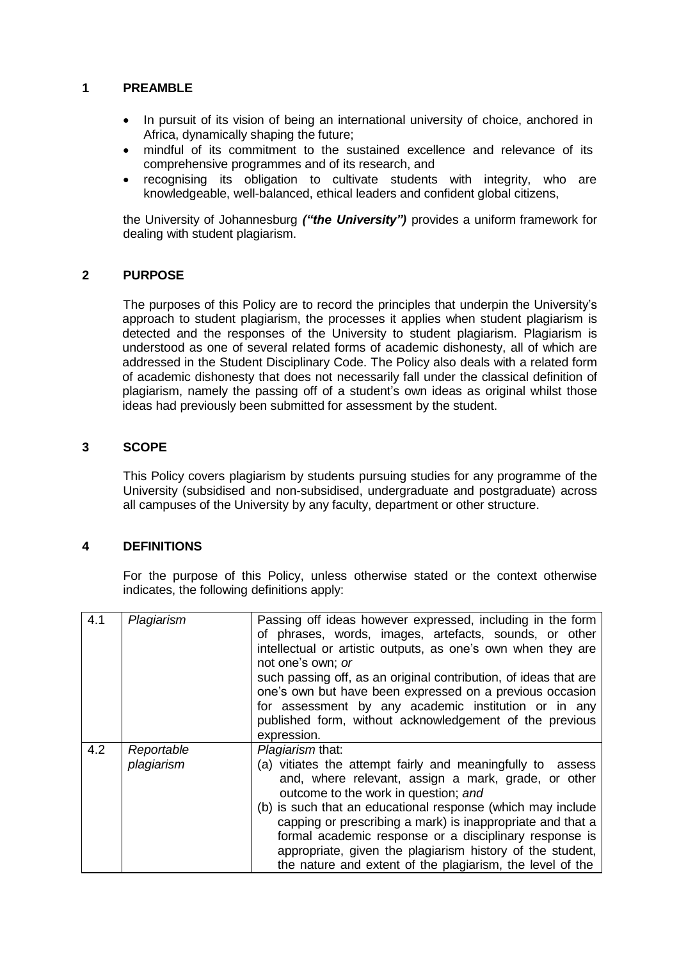### <span id="page-3-0"></span>**1 PREAMBLE**

- In pursuit of its vision of being an international university of choice, anchored in Africa, dynamically shaping the future;
- mindful of its commitment to the sustained excellence and relevance of its comprehensive programmes and of its research, and
- recognising its obligation to cultivate students with integrity, who are knowledgeable, well-balanced, ethical leaders and confident global citizens,

the University of Johannesburg *("the University")* provides a uniform framework for dealing with student plagiarism.

#### <span id="page-3-1"></span>**2 PURPOSE**

The purposes of this Policy are to record the principles that underpin the University's approach to student plagiarism, the processes it applies when student plagiarism is detected and the responses of the University to student plagiarism. Plagiarism is understood as one of several related forms of academic dishonesty, all of which are addressed in the Student Disciplinary Code. The Policy also deals with a related form of academic dishonesty that does not necessarily fall under the classical definition of plagiarism, namely the passing off of a student's own ideas as original whilst those ideas had previously been submitted for assessment by the student.

### <span id="page-3-2"></span>**3 SCOPE**

This Policy covers plagiarism by students pursuing studies for any programme of the University (subsidised and non-subsidised, undergraduate and postgraduate) across all campuses of the University by any faculty, department or other structure.

#### <span id="page-3-3"></span>**4 DEFINITIONS**

For the purpose of this Policy, unless otherwise stated or the context otherwise indicates, the following definitions apply:

| 4.1 | Plagiarism | Passing off ideas however expressed, including in the form<br>of phrases, words, images, artefacts, sounds, or other<br>intellectual or artistic outputs, as one's own when they are<br>not one's own; or<br>such passing off, as an original contribution, of ideas that are<br>one's own but have been expressed on a previous occasion<br>for assessment by any academic institution or in any<br>published form, without acknowledgement of the previous<br>expression. |
|-----|------------|-----------------------------------------------------------------------------------------------------------------------------------------------------------------------------------------------------------------------------------------------------------------------------------------------------------------------------------------------------------------------------------------------------------------------------------------------------------------------------|
| 4.2 | Reportable | Plagiarism that:                                                                                                                                                                                                                                                                                                                                                                                                                                                            |
|     | plagiarism | (a) vitiates the attempt fairly and meaningfully to assess<br>and, where relevant, assign a mark, grade, or other<br>outcome to the work in question; and<br>(b) is such that an educational response (which may include<br>capping or prescribing a mark) is inappropriate and that a<br>formal academic response or a disciplinary response is<br>appropriate, given the plagiarism history of the student,<br>the nature and extent of the plagiarism, the level of the  |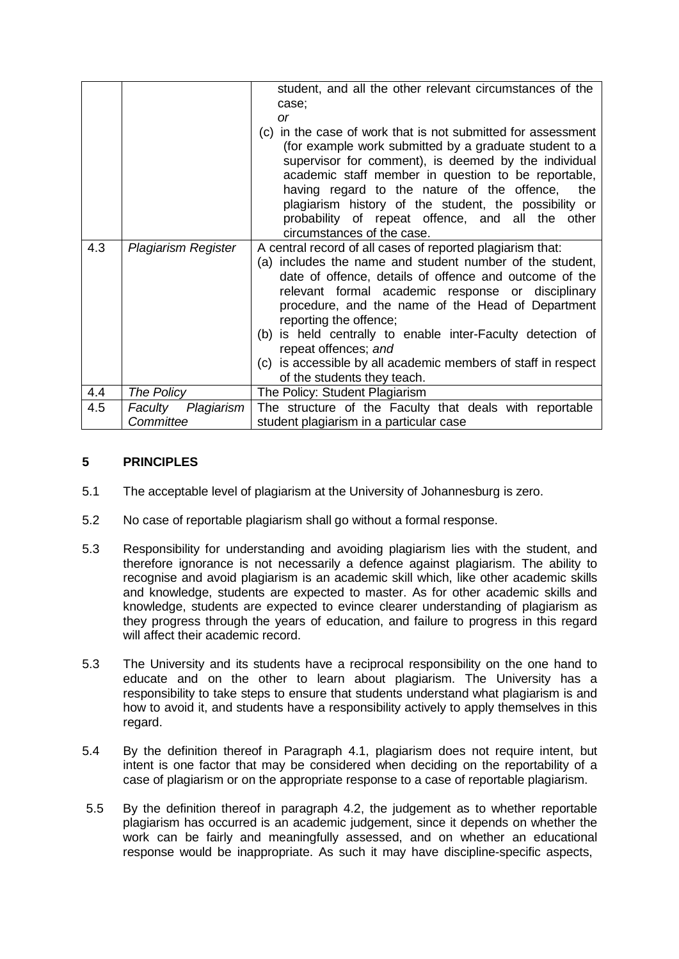|     |                                    | student, and all the other relevant circumstances of the<br>case;<br><b>or</b><br>in the case of work that is not submitted for assessment<br>(c)<br>(for example work submitted by a graduate student to a<br>supervisor for comment), is deemed by the individual<br>academic staff member in question to be reportable,<br>having regard to the nature of the offence, the<br>plagiarism history of the student, the possibility or<br>probability of repeat offence, and all the other<br>circumstances of the case. |
|-----|------------------------------------|--------------------------------------------------------------------------------------------------------------------------------------------------------------------------------------------------------------------------------------------------------------------------------------------------------------------------------------------------------------------------------------------------------------------------------------------------------------------------------------------------------------------------|
| 4.3 | Plagiarism Register                | A central record of all cases of reported plagiarism that:<br>(a) includes the name and student number of the student,<br>date of offence, details of offence and outcome of the<br>relevant formal academic response or disciplinary<br>procedure, and the name of the Head of Department<br>reporting the offence;<br>(b) is held centrally to enable inter-Faculty detection of<br>repeat offences; and<br>(c) is accessible by all academic members of staff in respect<br>of the students they teach.               |
| 4.4 | The Policy                         | The Policy: Student Plagiarism                                                                                                                                                                                                                                                                                                                                                                                                                                                                                           |
| 4.5 | Plagiarism<br>Faculty<br>Committee | The structure of the Faculty that deals with reportable<br>student plagiarism in a particular case                                                                                                                                                                                                                                                                                                                                                                                                                       |

### <span id="page-4-0"></span>**5 PRINCIPLES**

- 5.1 The acceptable level of plagiarism at the University of Johannesburg is zero.
- 5.2 No case of reportable plagiarism shall go without a formal response.
- 5.3 Responsibility for understanding and avoiding plagiarism lies with the student, and therefore ignorance is not necessarily a defence against plagiarism. The ability to recognise and avoid plagiarism is an academic skill which, like other academic skills and knowledge, students are expected to master. As for other academic skills and knowledge, students are expected to evince clearer understanding of plagiarism as they progress through the years of education, and failure to progress in this regard will affect their academic record.
- 5.3 The University and its students have a reciprocal responsibility on the one hand to educate and on the other to learn about plagiarism. The University has a responsibility to take steps to ensure that students understand what plagiarism is and how to avoid it, and students have a responsibility actively to apply themselves in this regard.
- 5.4 By the definition thereof in Paragraph 4.1, plagiarism does not require intent, but intent is one factor that may be considered when deciding on the reportability of a case of plagiarism or on the appropriate response to a case of reportable plagiarism.
- 5.5 By the definition thereof in paragraph 4.2, the judgement as to whether reportable plagiarism has occurred is an academic judgement, since it depends on whether the work can be fairly and meaningfully assessed, and on whether an educational response would be inappropriate. As such it may have discipline-specific aspects,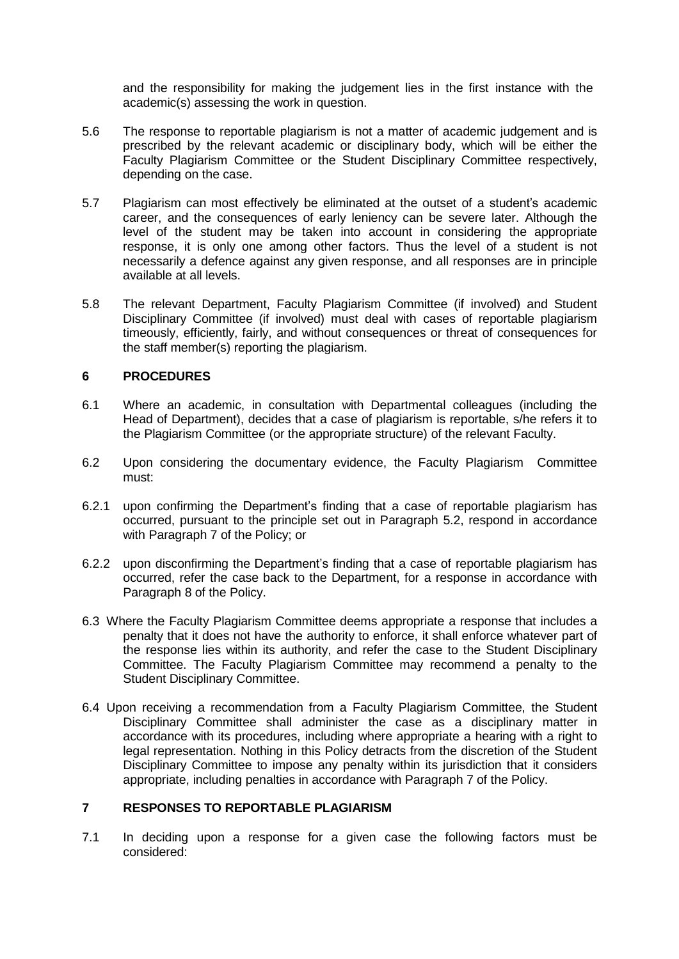and the responsibility for making the judgement lies in the first instance with the academic(s) assessing the work in question.

- 5.6 The response to reportable plagiarism is not a matter of academic judgement and is prescribed by the relevant academic or disciplinary body, which will be either the Faculty Plagiarism Committee or the Student Disciplinary Committee respectively, depending on the case.
- 5.7 Plagiarism can most effectively be eliminated at the outset of a student's academic career, and the consequences of early leniency can be severe later. Although the level of the student may be taken into account in considering the appropriate response, it is only one among other factors. Thus the level of a student is not necessarily a defence against any given response, and all responses are in principle available at all levels.
- 5.8 The relevant Department, Faculty Plagiarism Committee (if involved) and Student Disciplinary Committee (if involved) must deal with cases of reportable plagiarism timeously, efficiently, fairly, and without consequences or threat of consequences for the staff member(s) reporting the plagiarism.

#### <span id="page-5-0"></span>**6 PROCEDURES**

- 6.1 Where an academic, in consultation with Departmental colleagues (including the Head of Department), decides that a case of plagiarism is reportable, s/he refers it to the Plagiarism Committee (or the appropriate structure) of the relevant Faculty.
- 6.2 Upon considering the documentary evidence, the Faculty Plagiarism Committee must:
- 6.2.1 upon confirming the Department's finding that a case of reportable plagiarism has occurred, pursuant to the principle set out in Paragraph 5.2, respond in accordance with Paragraph 7 of the Policy; or
- 6.2.2 upon disconfirming the Department's finding that a case of reportable plagiarism has occurred, refer the case back to the Department, for a response in accordance with Paragraph 8 of the Policy.
- 6.3 Where the Faculty Plagiarism Committee deems appropriate a response that includes a penalty that it does not have the authority to enforce, it shall enforce whatever part of the response lies within its authority, and refer the case to the Student Disciplinary Committee. The Faculty Plagiarism Committee may recommend a penalty to the Student Disciplinary Committee.
- 6.4 Upon receiving a recommendation from a Faculty Plagiarism Committee, the Student Disciplinary Committee shall administer the case as a disciplinary matter in accordance with its procedures, including where appropriate a hearing with a right to legal representation. Nothing in this Policy detracts from the discretion of the Student Disciplinary Committee to impose any penalty within its jurisdiction that it considers appropriate, including penalties in accordance with Paragraph 7 of the Policy.

#### <span id="page-5-1"></span>**7 RESPONSES TO REPORTABLE PLAGIARISM**

7.1 In deciding upon a response for a given case the following factors must be considered: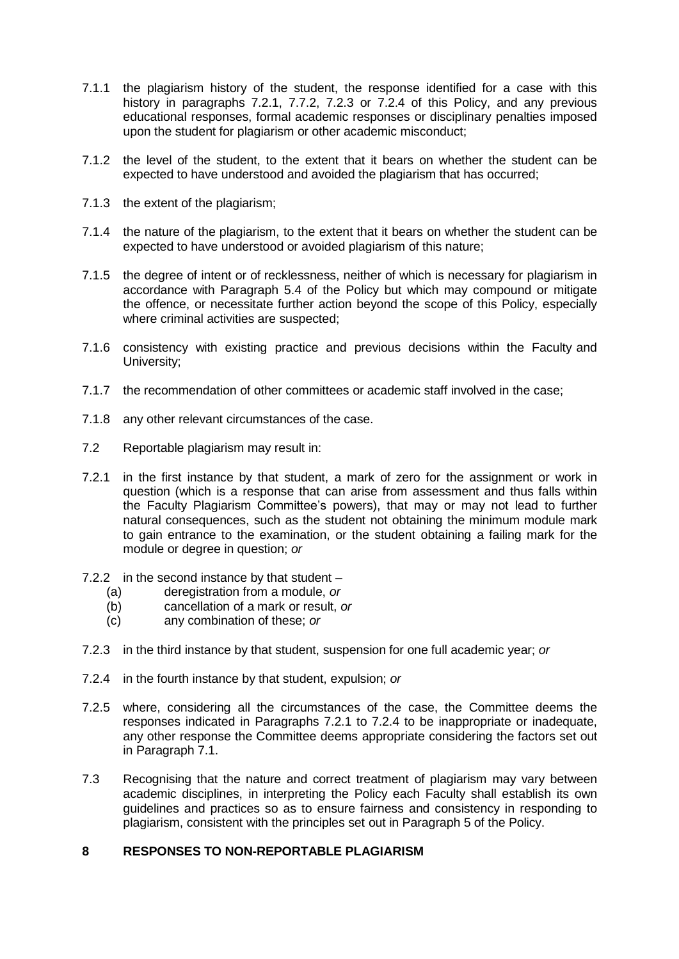- 7.1.1 the plagiarism history of the student, the response identified for a case with this history in paragraphs 7.2.1, 7.7.2, 7.2.3 or 7.2.4 of this Policy, and any previous educational responses, formal academic responses or disciplinary penalties imposed upon the student for plagiarism or other academic misconduct;
- 7.1.2 the level of the student, to the extent that it bears on whether the student can be expected to have understood and avoided the plagiarism that has occurred;
- 7.1.3 the extent of the plagiarism;
- 7.1.4 the nature of the plagiarism, to the extent that it bears on whether the student can be expected to have understood or avoided plagiarism of this nature;
- 7.1.5 the degree of intent or of recklessness, neither of which is necessary for plagiarism in accordance with Paragraph 5.4 of the Policy but which may compound or mitigate the offence, or necessitate further action beyond the scope of this Policy, especially where criminal activities are suspected;
- 7.1.6 consistency with existing practice and previous decisions within the Faculty and University;
- 7.1.7 the recommendation of other committees or academic staff involved in the case;
- 7.1.8 any other relevant circumstances of the case.
- 7.2 Reportable plagiarism may result in:
- 7.2.1 in the first instance by that student, a mark of zero for the assignment or work in question (which is a response that can arise from assessment and thus falls within the Faculty Plagiarism Committee's powers), that may or may not lead to further natural consequences, such as the student not obtaining the minimum module mark to gain entrance to the examination, or the student obtaining a failing mark for the module or degree in question; *or*
- 7.2.2 in the second instance by that student
	- (a) deregistration from a module, *or*
	- (b) cancellation of a mark or result, *or*
	- (c) any combination of these; *or*
- 7.2.3 in the third instance by that student, suspension for one full academic year; *or*
- 7.2.4 in the fourth instance by that student, expulsion; *or*
- 7.2.5 where, considering all the circumstances of the case, the Committee deems the responses indicated in Paragraphs 7.2.1 to 7.2.4 to be inappropriate or inadequate, any other response the Committee deems appropriate considering the factors set out in Paragraph 7.1.
- 7.3 Recognising that the nature and correct treatment of plagiarism may vary between academic disciplines, in interpreting the Policy each Faculty shall establish its own guidelines and practices so as to ensure fairness and consistency in responding to plagiarism, consistent with the principles set out in Paragraph 5 of the Policy.

#### <span id="page-6-0"></span>**8 RESPONSES TO NON-REPORTABLE PLAGIARISM**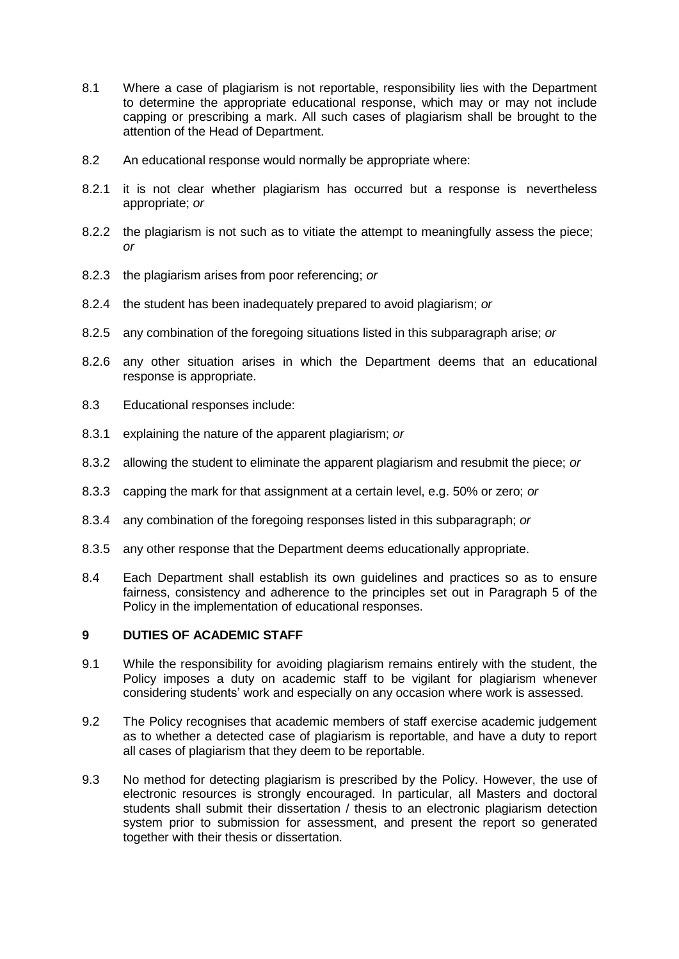- 8.1 Where a case of plagiarism is not reportable, responsibility lies with the Department to determine the appropriate educational response, which may or may not include capping or prescribing a mark. All such cases of plagiarism shall be brought to the attention of the Head of Department.
- 8.2 An educational response would normally be appropriate where:
- 8.2.1 it is not clear whether plagiarism has occurred but a response is nevertheless appropriate; *or*
- 8.2.2 the plagiarism is not such as to vitiate the attempt to meaningfully assess the piece; *or*
- 8.2.3 the plagiarism arises from poor referencing; *or*
- 8.2.4 the student has been inadequately prepared to avoid plagiarism; *or*
- 8.2.5 any combination of the foregoing situations listed in this subparagraph arise; *or*
- 8.2.6 any other situation arises in which the Department deems that an educational response is appropriate.
- 8.3 Educational responses include:
- 8.3.1 explaining the nature of the apparent plagiarism; *or*
- 8.3.2 allowing the student to eliminate the apparent plagiarism and resubmit the piece; *or*
- 8.3.3 capping the mark for that assignment at a certain level, e.g. 50% or zero; *or*
- 8.3.4 any combination of the foregoing responses listed in this subparagraph; *or*
- 8.3.5 any other response that the Department deems educationally appropriate.
- 8.4 Each Department shall establish its own guidelines and practices so as to ensure fairness, consistency and adherence to the principles set out in Paragraph 5 of the Policy in the implementation of educational responses.

#### <span id="page-7-0"></span>**9 DUTIES OF ACADEMIC STAFF**

- 9.1 While the responsibility for avoiding plagiarism remains entirely with the student, the Policy imposes a duty on academic staff to be vigilant for plagiarism whenever considering students' work and especially on any occasion where work is assessed.
- 9.2 The Policy recognises that academic members of staff exercise academic judgement as to whether a detected case of plagiarism is reportable, and have a duty to report all cases of plagiarism that they deem to be reportable.
- 9.3 No method for detecting plagiarism is prescribed by the Policy. However, the use of electronic resources is strongly encouraged. In particular, all Masters and doctoral students shall submit their dissertation / thesis to an electronic plagiarism detection system prior to submission for assessment, and present the report so generated together with their thesis or dissertation.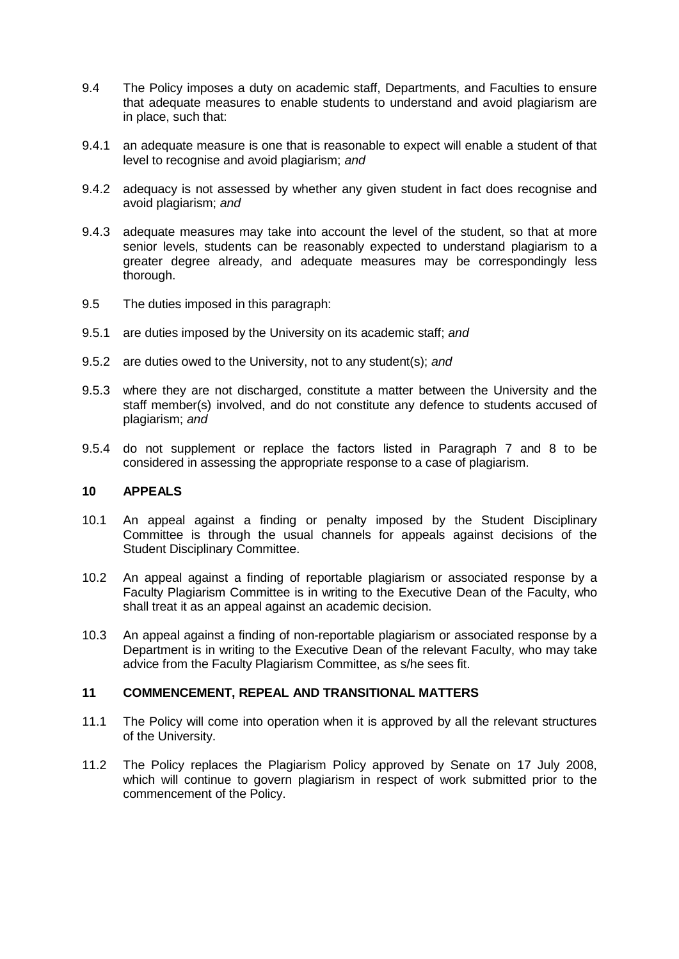- 9.4 The Policy imposes a duty on academic staff, Departments, and Faculties to ensure that adequate measures to enable students to understand and avoid plagiarism are in place, such that:
- 9.4.1 an adequate measure is one that is reasonable to expect will enable a student of that level to recognise and avoid plagiarism; *and*
- 9.4.2 adequacy is not assessed by whether any given student in fact does recognise and avoid plagiarism; *and*
- 9.4.3 adequate measures may take into account the level of the student, so that at more senior levels, students can be reasonably expected to understand plagiarism to a greater degree already, and adequate measures may be correspondingly less thorough.
- 9.5 The duties imposed in this paragraph:
- 9.5.1 are duties imposed by the University on its academic staff; *and*
- 9.5.2 are duties owed to the University, not to any student(s); *and*
- 9.5.3 where they are not discharged, constitute a matter between the University and the staff member(s) involved, and do not constitute any defence to students accused of plagiarism; *and*
- 9.5.4 do not supplement or replace the factors listed in Paragraph 7 and 8 to be considered in assessing the appropriate response to a case of plagiarism.

#### <span id="page-8-0"></span>**10 APPEALS**

- 10.1 An appeal against a finding or penalty imposed by the Student Disciplinary Committee is through the usual channels for appeals against decisions of the Student Disciplinary Committee.
- 10.2 An appeal against a finding of reportable plagiarism or associated response by a Faculty Plagiarism Committee is in writing to the Executive Dean of the Faculty, who shall treat it as an appeal against an academic decision.
- 10.3 An appeal against a finding of non-reportable plagiarism or associated response by a Department is in writing to the Executive Dean of the relevant Faculty, who may take advice from the Faculty Plagiarism Committee, as s/he sees fit.

#### <span id="page-8-1"></span>**11 COMMENCEMENT, REPEAL AND TRANSITIONAL MATTERS**

- 11.1 The Policy will come into operation when it is approved by all the relevant structures of the University.
- 11.2 The Policy replaces the Plagiarism Policy approved by Senate on 17 July 2008, which will continue to govern plagiarism in respect of work submitted prior to the commencement of the Policy.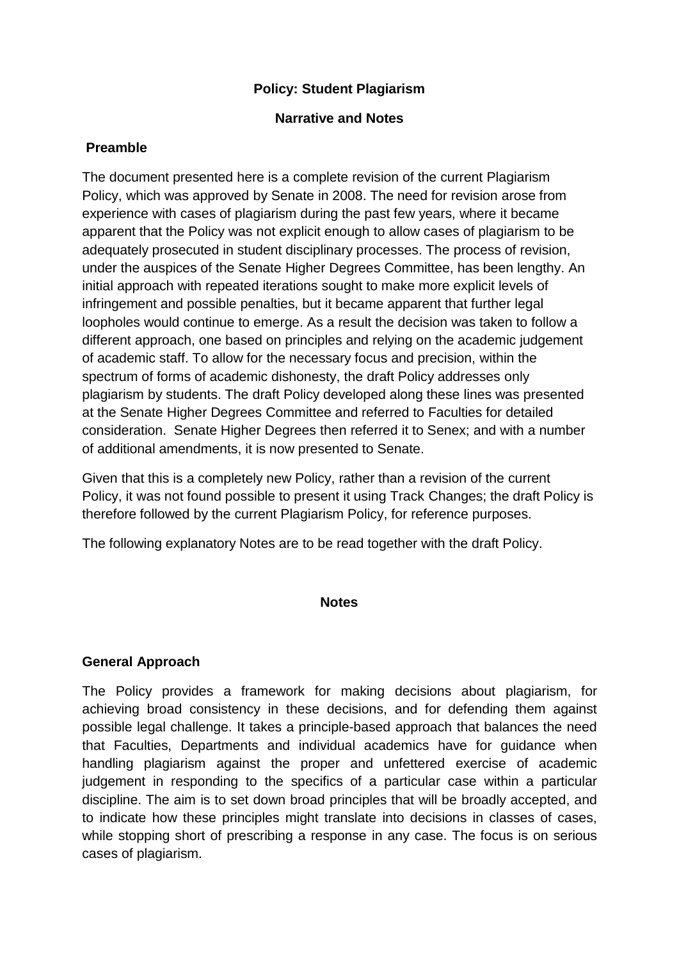## **Policy: Student Plagiarism**

### **Narrative and Notes**

## **Preamble**

The document presented here is a complete revision of the current Plagiarism Policy, which was approved by Senate in 2008. The need for revision arose from experience with cases of plagiarism during the past few years, where it became apparent that the Policy was not explicit enough to allow cases of plagiarism to be adequately prosecuted in student disciplinary processes. The process of revision, under the auspices of the Senate Higher Degrees Committee, has been lengthy. An initial approach with repeated iterations sought to make more explicit levels of infringement and possible penalties, but it became apparent that further legal loopholes would continue to emerge. As a result the decision was taken to follow a different approach, one based on principles and relying on the academic judgement of academic staff. To allow for the necessary focus and precision, within the spectrum of forms of academic dishonesty, the draft Policy addresses only plagiarism by students. The draft Policy developed along these lines was presented at the Senate Higher Degrees Committee and referred to Faculties for detailed consideration. Senate Higher Degrees then referred it to Senex; and with a number of additional amendments, it is now presented to Senate.

Given that this is a completely new Policy, rather than a revision of the current Policy, it was not found possible to present it using Track Changes; the draft Policy is therefore followed by the current Plagiarism Policy, for reference purposes.

The following explanatory Notes are to be read together with the draft Policy.

#### **Notes**

# **General Approach**

The Policy provides a framework for making decisions about plagiarism, for achieving broad consistency in these decisions, and for defending them against possible legal challenge. It takes a principle-based approach that balances the need that Faculties, Departments and individual academics have for guidance when handling plagiarism against the proper and unfettered exercise of academic judgement in responding to the specifics of a particular case within a particular discipline. The aim is to set down broad principles that will be broadly accepted, and to indicate how these principles might translate into decisions in classes of cases, while stopping short of prescribing a response in any case. The focus is on serious cases of plagiarism.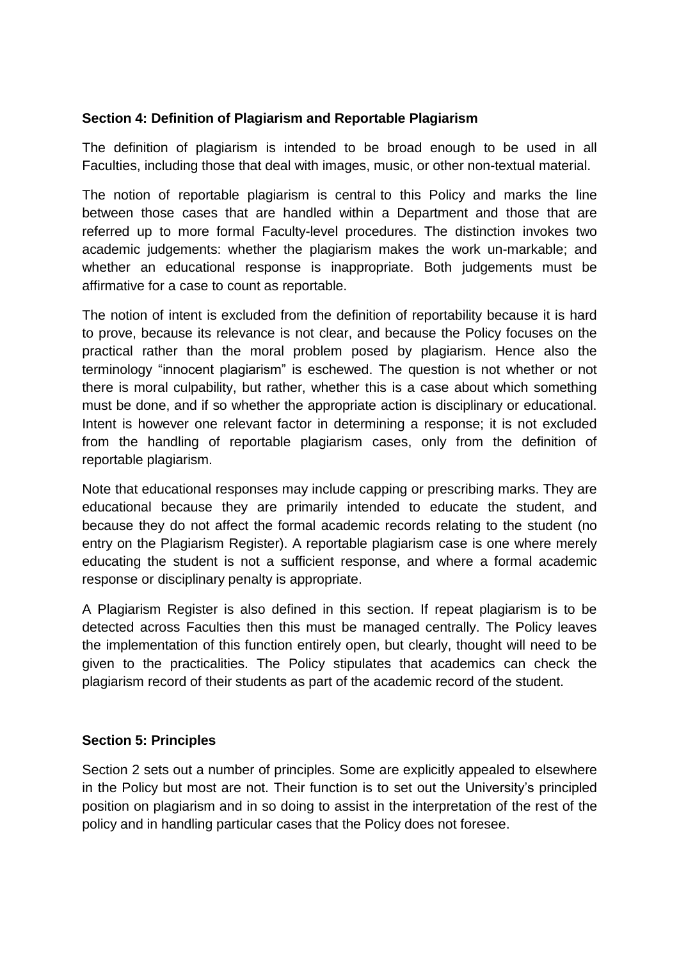### **Section 4: Definition of Plagiarism and Reportable Plagiarism**

The definition of plagiarism is intended to be broad enough to be used in all Faculties, including those that deal with images, music, or other non-textual material.

The notion of reportable plagiarism is central to this Policy and marks the line between those cases that are handled within a Department and those that are referred up to more formal Faculty-level procedures. The distinction invokes two academic judgements: whether the plagiarism makes the work un-markable; and whether an educational response is inappropriate. Both judgements must be affirmative for a case to count as reportable.

The notion of intent is excluded from the definition of reportability because it is hard to prove, because its relevance is not clear, and because the Policy focuses on the practical rather than the moral problem posed by plagiarism. Hence also the terminology "innocent plagiarism" is eschewed. The question is not whether or not there is moral culpability, but rather, whether this is a case about which something must be done, and if so whether the appropriate action is disciplinary or educational. Intent is however one relevant factor in determining a response; it is not excluded from the handling of reportable plagiarism cases, only from the definition of reportable plagiarism.

Note that educational responses may include capping or prescribing marks. They are educational because they are primarily intended to educate the student, and because they do not affect the formal academic records relating to the student (no entry on the Plagiarism Register). A reportable plagiarism case is one where merely educating the student is not a sufficient response, and where a formal academic response or disciplinary penalty is appropriate.

A Plagiarism Register is also defined in this section. If repeat plagiarism is to be detected across Faculties then this must be managed centrally. The Policy leaves the implementation of this function entirely open, but clearly, thought will need to be given to the practicalities. The Policy stipulates that academics can check the plagiarism record of their students as part of the academic record of the student.

### **Section 5: Principles**

Section 2 sets out a number of principles. Some are explicitly appealed to elsewhere in the Policy but most are not. Their function is to set out the University's principled position on plagiarism and in so doing to assist in the interpretation of the rest of the policy and in handling particular cases that the Policy does not foresee.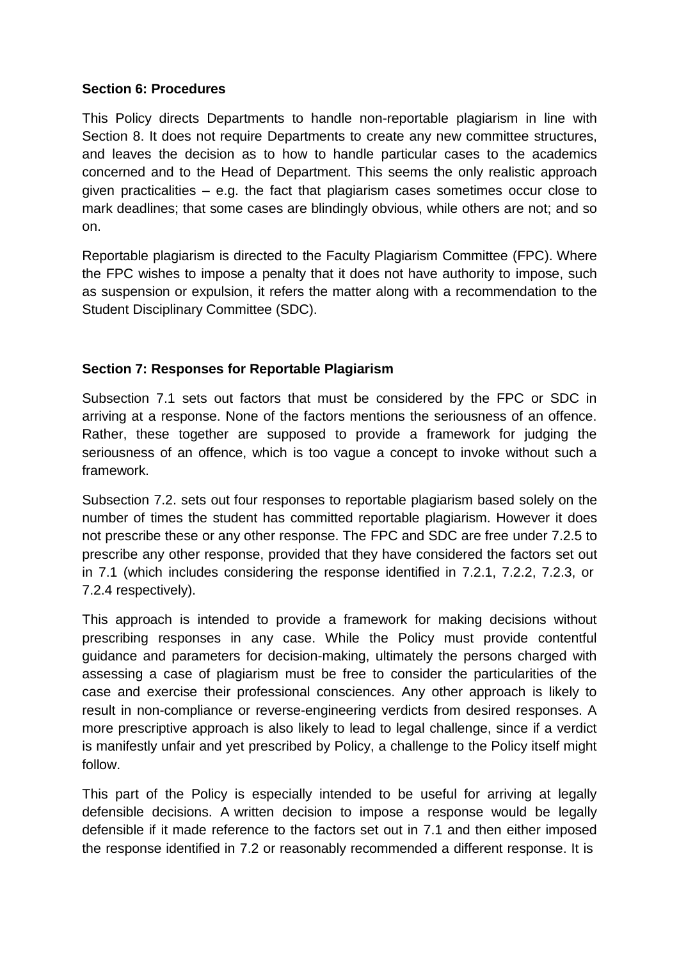### **Section 6: Procedures**

This Policy directs Departments to handle non-reportable plagiarism in line with Section 8. It does not require Departments to create any new committee structures, and leaves the decision as to how to handle particular cases to the academics concerned and to the Head of Department. This seems the only realistic approach given practicalities – e.g. the fact that plagiarism cases sometimes occur close to mark deadlines; that some cases are blindingly obvious, while others are not; and so on.

Reportable plagiarism is directed to the Faculty Plagiarism Committee (FPC). Where the FPC wishes to impose a penalty that it does not have authority to impose, such as suspension or expulsion, it refers the matter along with a recommendation to the Student Disciplinary Committee (SDC).

# **Section 7: Responses for Reportable Plagiarism**

Subsection 7.1 sets out factors that must be considered by the FPC or SDC in arriving at a response. None of the factors mentions the seriousness of an offence. Rather, these together are supposed to provide a framework for judging the seriousness of an offence, which is too vague a concept to invoke without such a framework.

Subsection 7.2. sets out four responses to reportable plagiarism based solely on the number of times the student has committed reportable plagiarism. However it does not prescribe these or any other response. The FPC and SDC are free under 7.2.5 to prescribe any other response, provided that they have considered the factors set out in 7.1 (which includes considering the response identified in 7.2.1, 7.2.2, 7.2.3, or 7.2.4 respectively).

This approach is intended to provide a framework for making decisions without prescribing responses in any case. While the Policy must provide contentful guidance and parameters for decision-making, ultimately the persons charged with assessing a case of plagiarism must be free to consider the particularities of the case and exercise their professional consciences. Any other approach is likely to result in non-compliance or reverse-engineering verdicts from desired responses. A more prescriptive approach is also likely to lead to legal challenge, since if a verdict is manifestly unfair and yet prescribed by Policy, a challenge to the Policy itself might follow.

This part of the Policy is especially intended to be useful for arriving at legally defensible decisions. A written decision to impose a response would be legally defensible if it made reference to the factors set out in 7.1 and then either imposed the response identified in 7.2 or reasonably recommended a different response. It is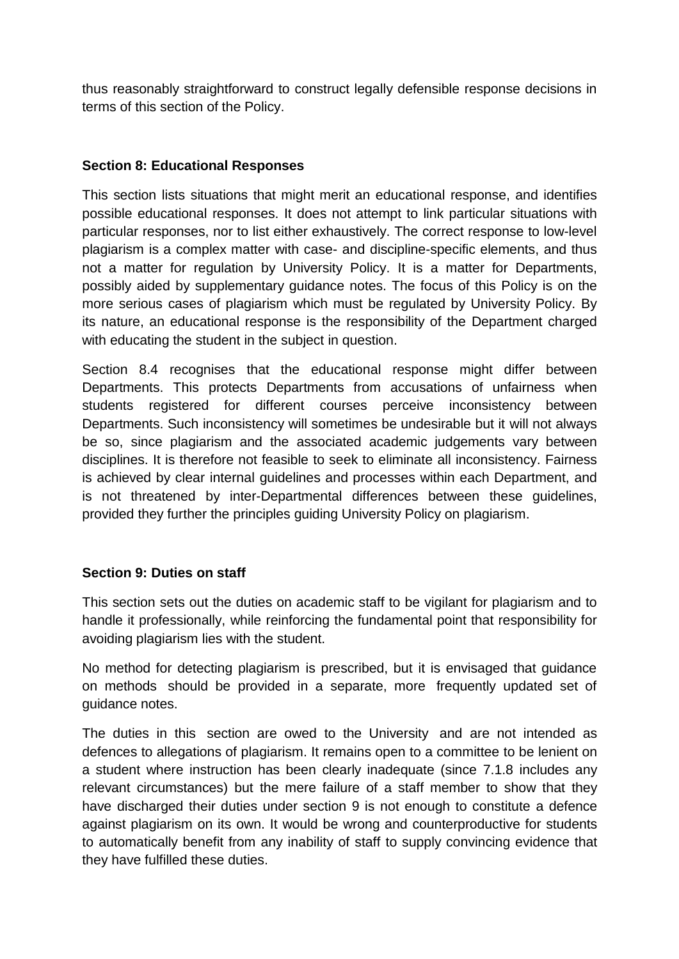thus reasonably straightforward to construct legally defensible response decisions in terms of this section of the Policy.

## **Section 8: Educational Responses**

This section lists situations that might merit an educational response, and identifies possible educational responses. It does not attempt to link particular situations with particular responses, nor to list either exhaustively. The correct response to low-level plagiarism is a complex matter with case- and discipline-specific elements, and thus not a matter for regulation by University Policy. It is a matter for Departments, possibly aided by supplementary guidance notes. The focus of this Policy is on the more serious cases of plagiarism which must be regulated by University Policy. By its nature, an educational response is the responsibility of the Department charged with educating the student in the subject in question.

Section 8.4 recognises that the educational response might differ between Departments. This protects Departments from accusations of unfairness when students registered for different courses perceive inconsistency between Departments. Such inconsistency will sometimes be undesirable but it will not always be so, since plagiarism and the associated academic judgements vary between disciplines. It is therefore not feasible to seek to eliminate all inconsistency. Fairness is achieved by clear internal guidelines and processes within each Department, and is not threatened by inter-Departmental differences between these guidelines, provided they further the principles guiding University Policy on plagiarism.

# **Section 9: Duties on staff**

This section sets out the duties on academic staff to be vigilant for plagiarism and to handle it professionally, while reinforcing the fundamental point that responsibility for avoiding plagiarism lies with the student.

No method for detecting plagiarism is prescribed, but it is envisaged that guidance on methods should be provided in a separate, more frequently updated set of guidance notes.

The duties in this section are owed to the University and are not intended as defences to allegations of plagiarism. It remains open to a committee to be lenient on a student where instruction has been clearly inadequate (since 7.1.8 includes any relevant circumstances) but the mere failure of a staff member to show that they have discharged their duties under section 9 is not enough to constitute a defence against plagiarism on its own. It would be wrong and counterproductive for students to automatically benefit from any inability of staff to supply convincing evidence that they have fulfilled these duties.